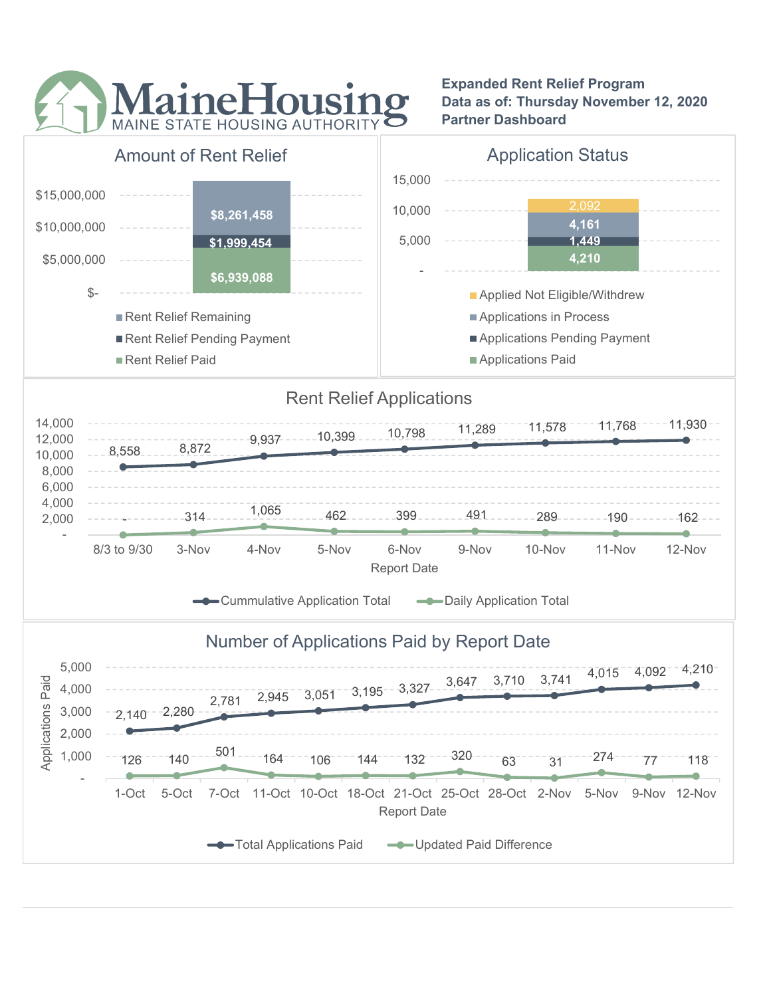

### Expanded Rent Relief Program Data as of: Thursday November 12, 2020 Partner Dashboard